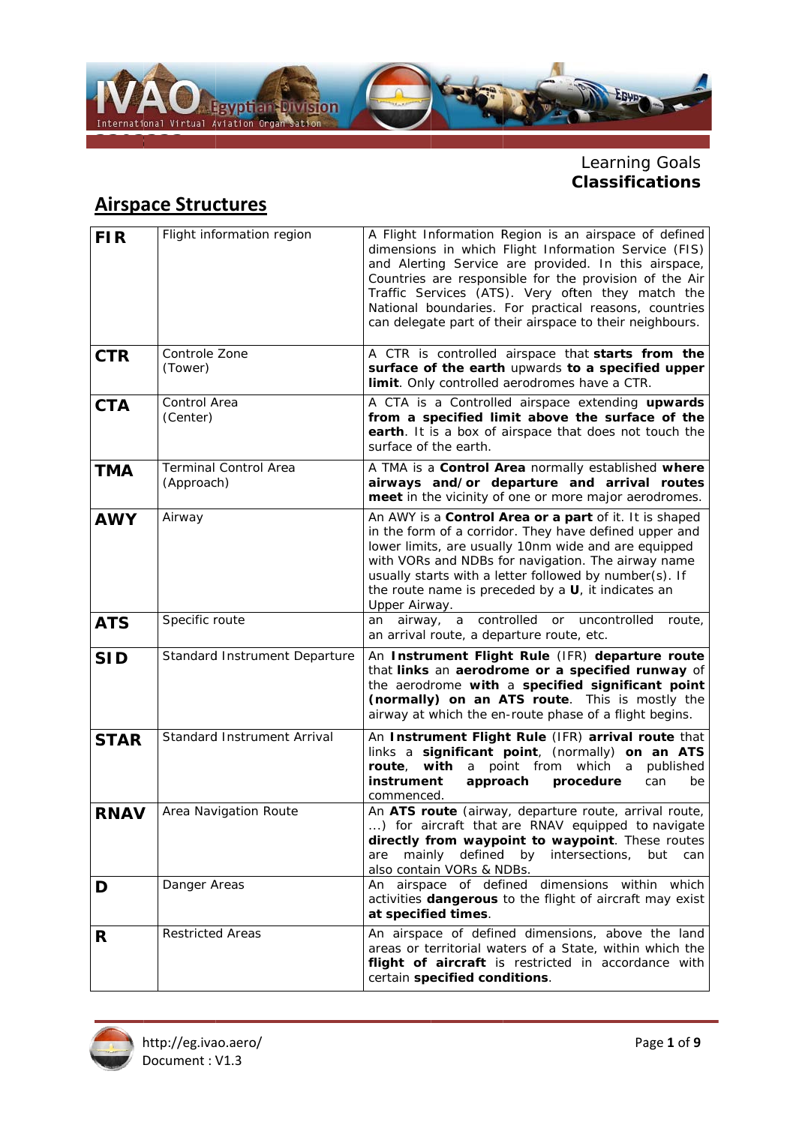

# Learning Goals<br>Classifications

### **Airspace Structures**

| <b>FIR</b>  | Flight information region                  | A Flight Information Region is an airspace of defined<br>dimensions in which Flight Information Service (FIS)<br>and Alerting Service are provided. In this airspace,<br>Countries are responsible for the provision of the Air<br>Traffic Services (ATS). Very often they match the<br>National boundaries. For practical reasons, countries<br>can delegate part of their airspace to their neighbours. |
|-------------|--------------------------------------------|-----------------------------------------------------------------------------------------------------------------------------------------------------------------------------------------------------------------------------------------------------------------------------------------------------------------------------------------------------------------------------------------------------------|
| <b>CTR</b>  | Controle Zone<br>(Tower)                   | A CTR is controlled airspace that starts from the<br>surface of the earth upwards to a specified upper<br>limit. Only controlled aerodromes have a CTR.                                                                                                                                                                                                                                                   |
| <b>CTA</b>  | Control Area<br>(Center)                   | A CTA is a Controlled airspace extending upwards<br>from a specified limit above the surface of the<br>earth. It is a box of airspace that does not touch the<br>surface of the earth.                                                                                                                                                                                                                    |
| <b>TMA</b>  | <b>Terminal Control Area</b><br>(Approach) | A TMA is a Control Area normally established where<br>airways and/or departure and arrival routes<br>meet in the vicinity of one or more major aerodromes.                                                                                                                                                                                                                                                |
| <b>AWY</b>  | Airway                                     | An AWY is a Control Area or a part of it. It is shaped<br>in the form of a corridor. They have defined upper and<br>lower limits, are usually 10nm wide and are equipped<br>with VORs and NDBs for navigation. The airway name<br>usually starts with a letter followed by number(s). If<br>the route name is preceded by a $U$ , it indicates an<br>Upper Airway.                                        |
| <b>ATS</b>  | Specific route                             | airway, a controlled<br>or<br>uncontrolled<br>an<br>route,<br>an arrival route, a departure route, etc.                                                                                                                                                                                                                                                                                                   |
| <b>SID</b>  | Standard Instrument Departure              | An Instrument Flight Rule (IFR) departure route<br>that links an aerodrome or a specified runway of<br>the aerodrome with a specified significant point<br>(normally) on an ATS route. This is mostly the<br>airway at which the en-route phase of a flight begins.                                                                                                                                       |
| <b>STAR</b> | Standard Instrument Arrival                | An Instrument Flight Rule (IFR) arrival route that<br>links a significant point, (normally) on an ATS<br>with a<br>point from<br>which a<br>route,<br>published<br>procedure<br>instrument<br>approach<br>can<br>be<br>commenced.                                                                                                                                                                         |
| <b>RNAV</b> | Area Navigation Route                      | An ATS route (airway, departure route, arrival route,<br>) for aircraft that are RNAV equipped to navigate<br>directly from waypoint to waypoint. These routes<br>defined by<br>intersections,<br>mainly<br>but<br>are<br>can<br>also contain VORs & NDBs.                                                                                                                                                |
| D           | Danger Areas                               | An airspace of defined dimensions within which<br>activities dangerous to the flight of aircraft may exist<br>at specified times.                                                                                                                                                                                                                                                                         |
| R           | <b>Restricted Areas</b>                    | An airspace of defined dimensions, above the land<br>areas or territorial waters of a State, within which the<br>flight of aircraft is restricted in accordance with<br>certain specified conditions.                                                                                                                                                                                                     |

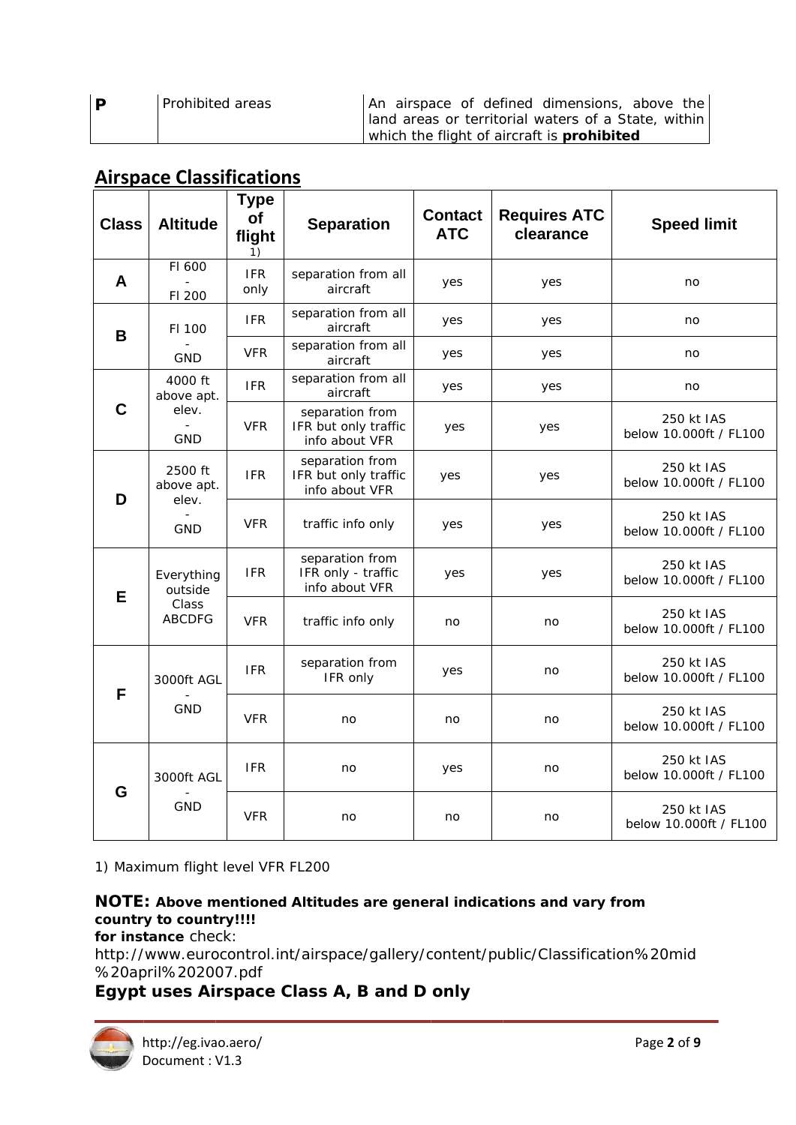| D | Prohibited areas | An airspace of defined dimensions, above the          |  |
|---|------------------|-------------------------------------------------------|--|
|   |                  | I land areas or territorial waters of a State, within |  |
|   |                  | which the flight of aircraft is <b>prohibited</b>     |  |

### **Airspace Classifications**

| <b>Class</b> | <b>Altitude</b>                                 | Type<br>of<br>flight<br>1) | <b>Separation</b>                                         | <b>Contact</b><br><b>ATC</b> | <b>Requires ATC</b><br>clearance | <b>Speed limit</b>                   |
|--------------|-------------------------------------------------|----------------------------|-----------------------------------------------------------|------------------------------|----------------------------------|--------------------------------------|
| A            | FI 600<br>FI 200                                | <b>IFR</b><br>only         | separation from all<br>aircraft                           | yes                          | yes                              | no                                   |
| B            | FI 100                                          | <b>IFR</b>                 | separation from all<br>aircraft                           | yes                          | yes                              | no                                   |
|              | <b>GND</b>                                      | <b>VFR</b>                 | separation from all<br>aircraft                           | yes                          | yes                              | no                                   |
|              | 4000 ft<br>above apt.                           | <b>IFR</b>                 | separation from all<br>aircraft                           | yes                          | yes                              | no                                   |
| C            | elev.<br><b>GND</b>                             | <b>VFR</b>                 | separation from<br>IFR but only traffic<br>info about VFR | yes                          | yes                              | 250 kt IAS<br>below 10.000ft / FL100 |
| D            | 2500 ft<br>above apt.<br>elev.                  | <b>IFR</b>                 | separation from<br>IFR but only traffic<br>info about VFR | yes                          | yes                              | 250 kt IAS<br>below 10.000ft / FL100 |
|              | <b>GND</b>                                      | <b>VFR</b>                 | traffic info only                                         | yes                          | yes                              | 250 kt IAS<br>below 10.000ft / FL100 |
| E            | Everything<br>outside<br>Class<br><b>ABCDFG</b> | <b>IFR</b>                 | separation from<br>IFR only - traffic<br>info about VFR   | yes                          | yes                              | 250 kt IAS<br>below 10.000ft / FL100 |
|              |                                                 | <b>VFR</b>                 | traffic info only                                         | no                           | no                               | 250 kt IAS<br>below 10.000ft / FL100 |
|              | 3000ft AGL                                      | <b>IFR</b>                 | separation from<br>IFR only                               | yes                          | no                               | 250 kt IAS<br>below 10.000ft / FL100 |
| F            | <b>GND</b>                                      | <b>VFR</b>                 | no                                                        | no                           | no                               | 250 kt IAS<br>below 10.000ft / FL100 |
|              | 3000ft AGL                                      | <b>IFR</b>                 | no                                                        | yes                          | no                               | 250 kt IAS<br>below 10.000ft / FL100 |
| G            | <b>GND</b>                                      | <b>VFR</b>                 | no                                                        | no                           | no                               | 250 kt IAS<br>below 10.000ft / FL100 |

1) Maximum flight level VFR FL200

#### NOTE: Above mentioned Altitudes are general indications and vary from country to country!!!!

for instance check:

http://www.eurocontrol.int/airspace/gallery/content/public/Classification%20mid %20april%202007.pdf

### Egypt uses Airspace Class A, B and D only

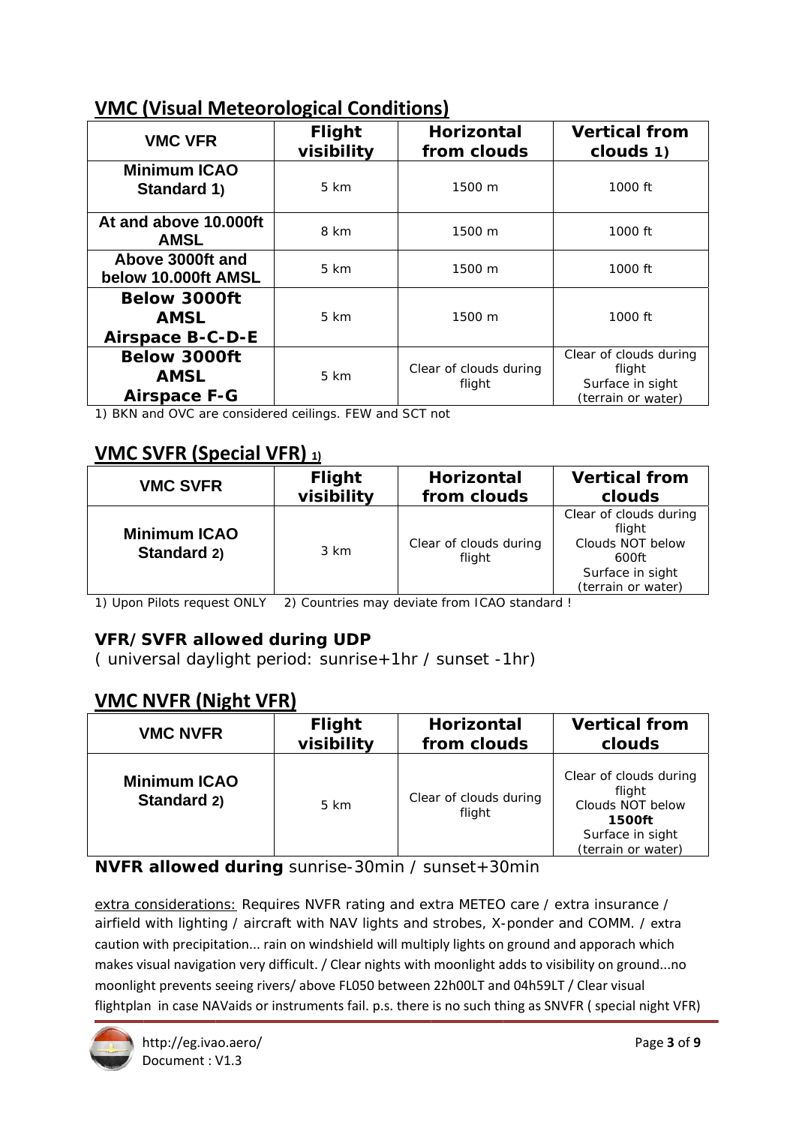### **VMC (Visual Meteorological Conditions)**

| <b>VMC VFR</b>                                                | <b>Flight</b><br>visibility | <b>Horizontal</b><br>from clouds | <b>Vertical from</b><br>clouds 1)                                          |  |
|---------------------------------------------------------------|-----------------------------|----------------------------------|----------------------------------------------------------------------------|--|
| <b>Minimum ICAO</b><br>Standard 1)                            | 5 km                        | 1500 m                           | 1000 ft                                                                    |  |
| At and above 10,000ft<br><b>AMSL</b>                          | 8 km                        | 1500 m                           | 1000 ft                                                                    |  |
| Above 3000ft and<br>below 10.000ft AMSL                       | 5 km                        | 1500 m                           | 1000 ft                                                                    |  |
| <b>Below 3000ft</b><br><b>AMSL</b><br><b>Airspace B-C-D-E</b> | 5 km                        | 1500 m                           | 1000 ft                                                                    |  |
| <b>Below 3000ft</b><br><b>AMSL</b><br><b>Airspace F-G</b>     | 5 km                        | Clear of clouds during<br>flight | Clear of clouds during<br>flight<br>Surface in sight<br>(terrain or water) |  |

1) BKN and OVC are considered ceilings. FEW and SCT not

### **VMC SVFR (Special VFR)** 1)

| <b>VMC SVFR</b>                    | <b>Flight</b> | Horizontal                       | <b>Vertical from</b>                                                                                    |
|------------------------------------|---------------|----------------------------------|---------------------------------------------------------------------------------------------------------|
|                                    | visibility    | from clouds                      | clouds                                                                                                  |
| <b>Minimum ICAO</b><br>Standard 2) | 3 km          | Clear of clouds during<br>flight | Clear of clouds during<br>flight<br>Clouds NOT below<br>600ft<br>Surface in sight<br>(terrain or water) |

1) Upon Pilots request ONLY 2) Countries may deviate from ICAO standard !

### **VFR/SVFR allowed during UDP**

(universal daylight period: sunrise+1hr / sunset -1hr)

### **VMC NVFR (Night VFR)**

| <b>VMC NVFR</b>                    | <b>Flight</b> | <b>Horizontal</b>                | <b>Vertical from</b>                                                                                            |
|------------------------------------|---------------|----------------------------------|-----------------------------------------------------------------------------------------------------------------|
|                                    | visibility    | from clouds                      | clouds                                                                                                          |
| <b>Minimum ICAO</b><br>Standard 2) | 5 km          | Clear of clouds during<br>flight | Clear of clouds during<br>flight<br>Clouds NOT below<br><b>1500ft</b><br>Surface in sight<br>(terrain or water) |

NVFR allowed during sunrise-30min / sunset+30min

extra considerations: Requires NVFR rating and extra METEO care / extra insurance / airfield with lighting / aircraft with NAV lights and strobes, X-ponder and COMM. / extra caution with precipitation... rain on windshield will multiply lights on ground and apporach which makes visual navigation very difficult. / Clear nights with moonlight adds to visibility on ground...no moonlight prevents seeing rivers/ above FL050 between 22h00LT and 04h59LT / Clear visual flightplan in case NAVaids or instruments fail. p.s. there is no such thing as SNVFR (special night VFR)

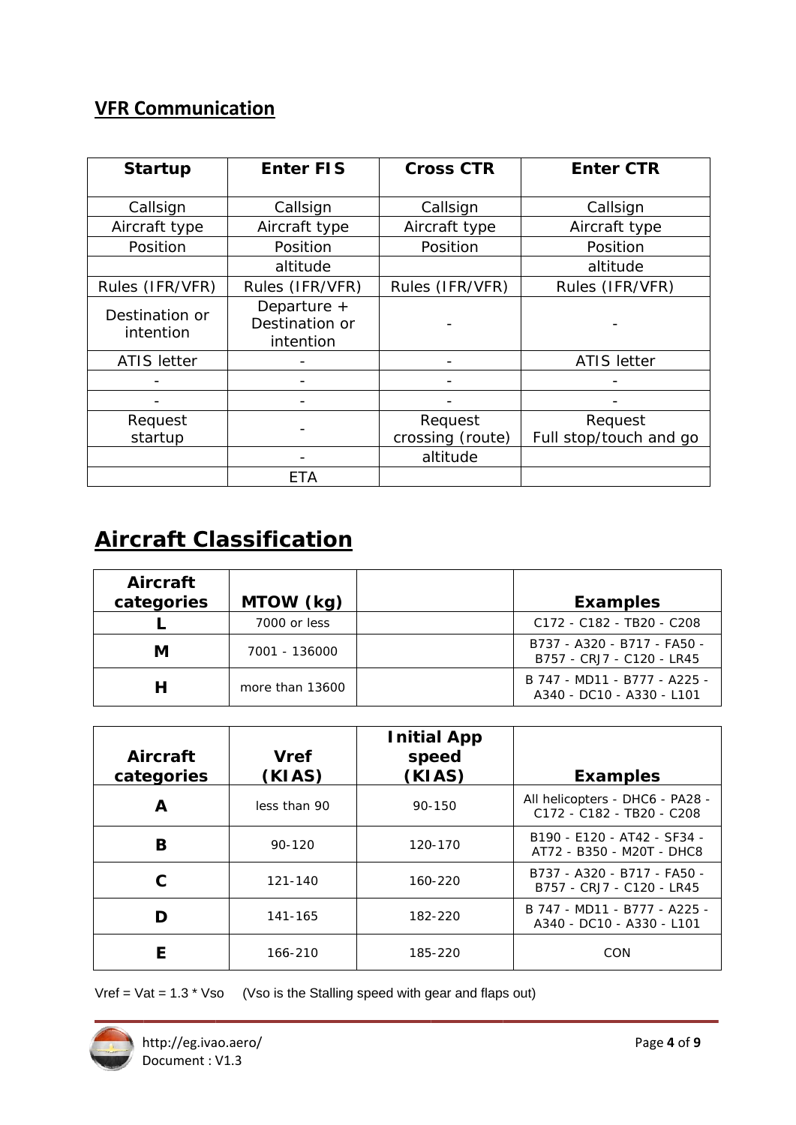### **VFR Communication**

| <b>Enter FIS</b><br><b>Startup</b> |                                              | <b>Cross CTR</b> | <b>Enter CTR</b>       |
|------------------------------------|----------------------------------------------|------------------|------------------------|
| Callsign                           | Callsign                                     | Callsign         | Callsign               |
| Aircraft type                      | Aircraft type                                | Aircraft type    | Aircraft type          |
| Position                           | Position                                     | Position         | Position               |
|                                    | altitude                                     |                  | altitude               |
| Rules (IFR/VFR)                    | Rules (IFR/VFR)                              | Rules (IFR/VFR)  | Rules (IFR/VFR)        |
| Destination or<br>intention        | Departure $+$<br>Destination or<br>intention |                  |                        |
| <b>ATIS letter</b>                 |                                              |                  | <b>ATIS</b> letter     |
|                                    |                                              |                  |                        |
|                                    |                                              |                  |                        |
| Request                            |                                              | Request          | Request                |
| startup                            |                                              | crossing (route) | Full stop/touch and go |
|                                    |                                              | altitude         |                        |
|                                    | ETA                                          |                  |                        |

# **Aircraft Classification**

| Aircraft<br>categories | MTOW (kg)       | <b>Examples</b>                                                           |
|------------------------|-----------------|---------------------------------------------------------------------------|
|                        | 7000 or less    | C <sub>172</sub> - C <sub>182</sub> - T <sub>B20</sub> - C <sub>208</sub> |
| М                      | 7001 - 136000   | B737 - A320 - B717 - FA50 -<br>B757 - CRJ7 - C120 - LR45                  |
|                        | more than 13600 | B 747 - MD11 - B777 - A225 -<br>A340 - DC10 - A330 - L101                 |

| Aircraft<br>categories | <b>Vref</b><br>(KIAS) | <b>Initial App</b><br>speed<br>(KIAS) | <b>Examples</b>                                              |
|------------------------|-----------------------|---------------------------------------|--------------------------------------------------------------|
| A                      | less than 90          | 90-150                                | All helicopters - DHC6 - PA28 -<br>C172 - C182 - TB20 - C208 |
| В                      | $90 - 120$            | 120-170                               | B190 - E120 - AT42 - SF34 -<br>AT72 - B350 - M20T - DHC8     |
|                        | 121-140               | 160-220                               | B737 - A320 - B717 - FA50 -<br>B757 - CRJ7 - C120 - LR45     |
| D                      | 141-165               | 182-220                               | B 747 - MD11 - B777 - A225 -<br>A340 - DC10 - A330 - L101    |
| F                      | 166-210               | 185-220                               | CON                                                          |

Vref =  $\sqrt{at}$  = 1.3 \*  $\sqrt{so}$  (Vso is the Stalling speed with gear and flaps out)

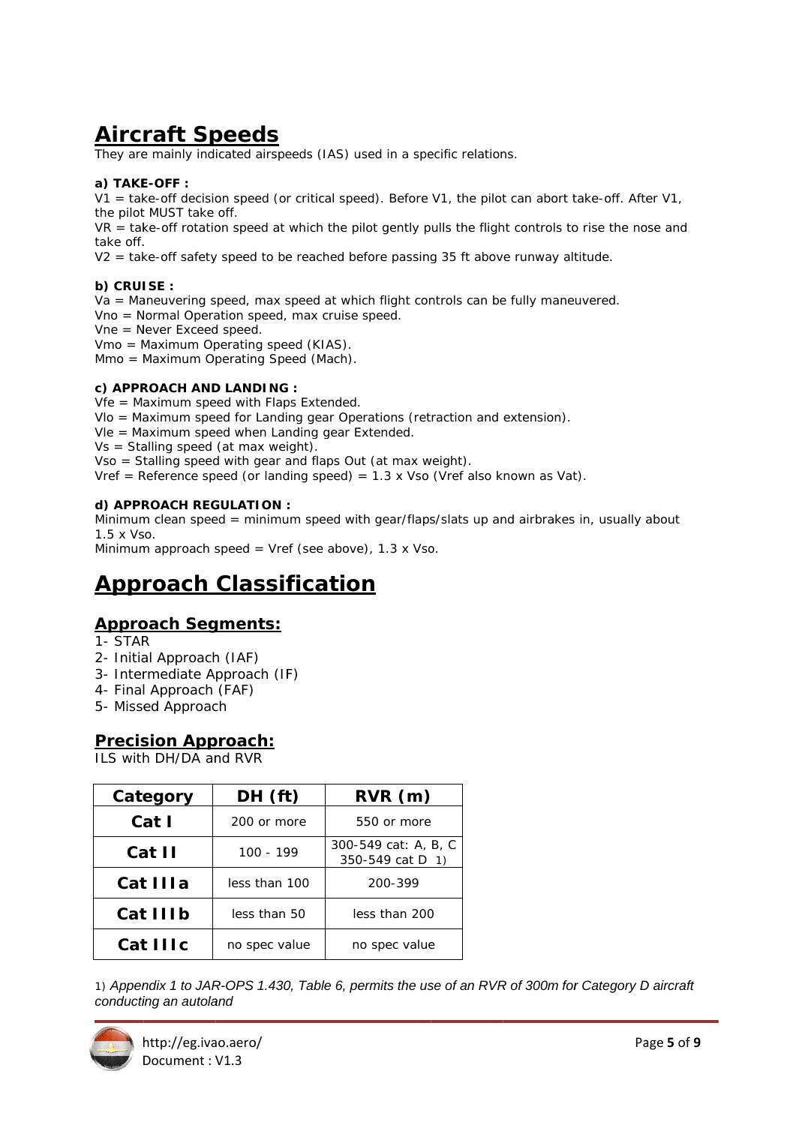# **Aircraft Speeds**

They are mainly indicated airspeeds (IAS) used in a specific relations.

#### a) TAKE-OFF :

 $V1$  = take-off decision speed (or critical speed). Before V1, the pilot can abort take-off. After V1, the pilot MUST take off.

 $VR =$  take-off rotation speed at which the pilot gently pulls the flight controls to rise the nose and take off.

V2 = take-off safety speed to be reached before passing 35 ft above runway altitude.

#### b) CRUISE :

Va = Maneuvering speed, max speed at which flight controls can be fully maneuvered.

Vno = Normal Operation speed, max cruise speed.

Vne = Never Exceed speed.

Vmo = Maximum Operating speed (KIAS).

Mmo = Maximum Operating Speed (Mach).

#### c) APPROACH AND LANDING :

Vfe = Maximum speed with Flaps Extended.

VIo = Maximum speed for Landing gear Operations (retraction and extension).

Vle = Maximum speed when Landing gear Extended.

 $Vs = Stalling speed (at max weight).$ 

Vso = Stalling speed with gear and flaps Out (at max weight).

Vref = Reference speed (or landing speed) =  $1.3 \times$  Vso (Vref also known as Vat).

#### d) APPROACH REGULATION :

Minimum clean speed = minimum speed with gear/flaps/slats up and airbrakes in, usually about 1.5 x Vso.

Minimum approach speed = Vref (see above),  $1.3 \times$  Vso.

### **Approach Classification**

#### **Approach Segments:**

- 1- STAR
- 2- Initial Approach (IAF)
- 3- Intermediate Approach (IF)
- 4- Final Approach (FAF)
- 5- Missed Approach

#### **Precision Approach:**

II S with DH/DA and RVR

| Category | DH (ft)       | RVR(m)                                   |  |
|----------|---------------|------------------------------------------|--|
| Cat I    | 200 or more   | 550 or more                              |  |
| Cat II   | $100 - 199$   | 300-549 cat: A, B, C<br>350-549 cat D 1) |  |
| Cat IIIa | less than 100 | 200-399                                  |  |
| Cat IIIb | less than 50  | less than 200                            |  |
| Cat IIIc | no spec value | no spec value                            |  |

1) Appendix 1 to JAR-OPS 1.430, Table 6, permits the use of an RVR of 300m for Category D aircraft conducting an autoland

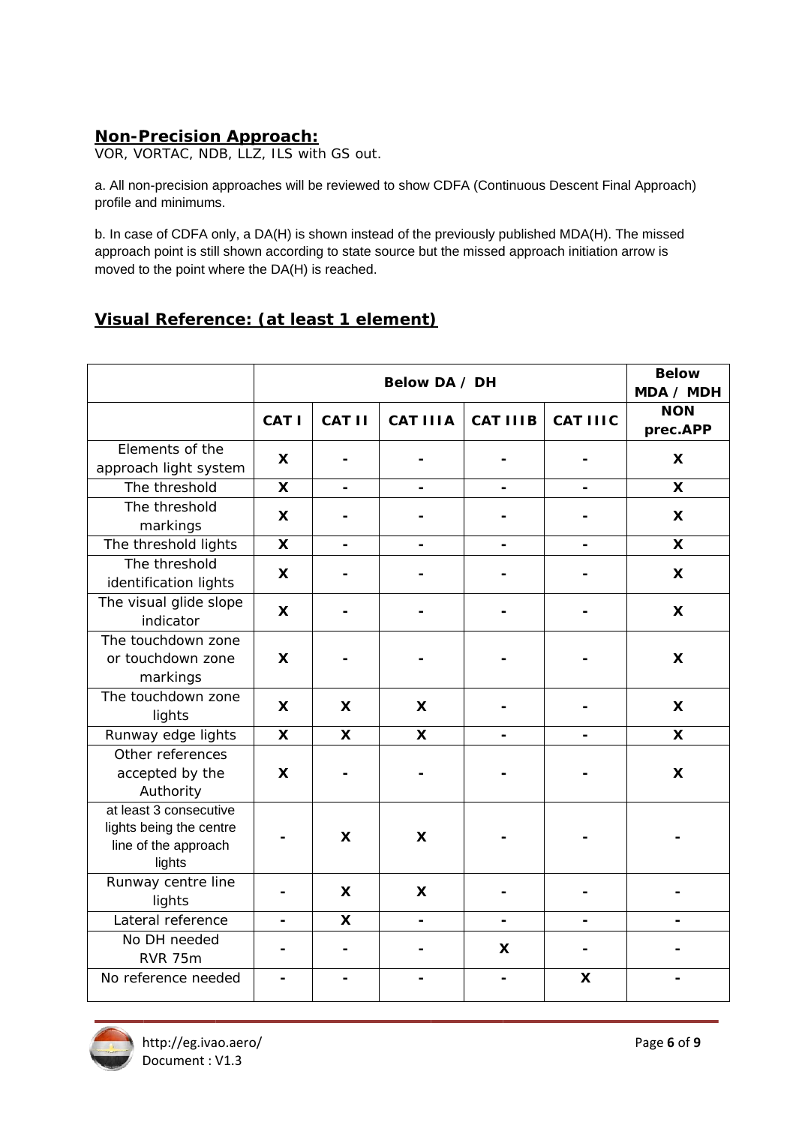### **Non-Precision Approach:**

VOR, VORTAC, NDB, LLZ, ILS with GS out.

a. All non-precision approaches will be reviewed to show CDFA (Continuous Descent Final Approach) profile and minimums.

b. In case of CDFA only, a DA(H) is shown instead of the previously published MDA(H). The missed approach point is still shown according to state source but the missed approach initiation arrow is moved to the point where the DA(H) is reached.

### Visual Reference: (at least 1 element)

|                                                                                     | Below DA / DH  |                           |                           |                 |                 | <b>Below</b><br>MDA / MDH |
|-------------------------------------------------------------------------------------|----------------|---------------------------|---------------------------|-----------------|-----------------|---------------------------|
|                                                                                     | CAT I          | <b>CAT II</b>             | <b>CAT IIIA</b>           | <b>CAT IIIB</b> | <b>CAT IIIC</b> | <b>NON</b><br>prec.APP    |
| Elements of the<br>approach light system                                            | X              |                           |                           |                 |                 | $\boldsymbol{\mathsf{X}}$ |
| The threshold                                                                       | X              |                           |                           |                 |                 | $\boldsymbol{\mathsf{X}}$ |
| The threshold<br>markings                                                           | X              |                           |                           |                 |                 | X                         |
| The threshold lights                                                                | X              |                           |                           |                 |                 | X                         |
| The threshold<br>identification lights                                              | X              |                           |                           |                 |                 | $\boldsymbol{\mathsf{X}}$ |
| The visual glide slope<br>indicator                                                 | X              |                           |                           |                 |                 | X                         |
| The touchdown zone<br>or touchdown zone<br>markings                                 | X              |                           |                           |                 |                 | X                         |
| The touchdown zone<br>lights                                                        | X              | X                         | X                         |                 |                 | X                         |
| Runway edge lights                                                                  | X              | X                         | $\boldsymbol{\mathsf{X}}$ |                 |                 | X                         |
| Other references<br>accepted by the<br>Authority                                    | X              |                           |                           |                 |                 | X                         |
| at least 3 consecutive<br>lights being the centre<br>line of the approach<br>lights |                | X                         | $\boldsymbol{\mathsf{X}}$ |                 |                 |                           |
| Runway centre line<br>lights                                                        |                | X                         | $\boldsymbol{\mathsf{X}}$ |                 |                 |                           |
| Lateral reference                                                                   | $\blacksquare$ | $\boldsymbol{\mathsf{x}}$ | $\blacksquare$            | $\blacksquare$  |                 |                           |
| No DH needed<br><b>RVR 75m</b>                                                      |                |                           |                           | X               |                 |                           |
| No reference needed                                                                 |                |                           |                           |                 | X               |                           |

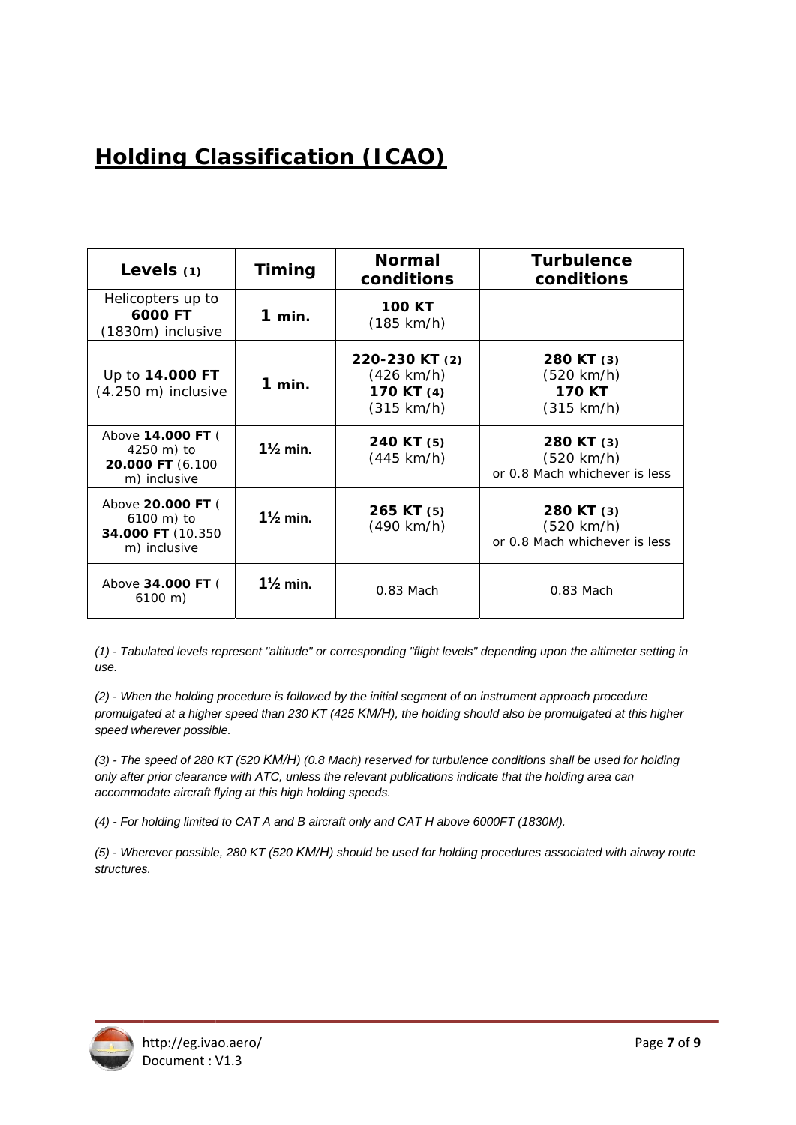# **Holding Classification (ICAO)**

| Levels $(1)$                                                         | <b>Timing</b>       | <b>Normal</b><br>conditions                                        | <b>Turbulence</b><br>conditions                                     |
|----------------------------------------------------------------------|---------------------|--------------------------------------------------------------------|---------------------------------------------------------------------|
| Helicopters up to<br>6000 FT<br>(1830m) inclusive                    | $1$ min.            | <b>100 KT</b><br>$(185 \text{ km/h})$                              |                                                                     |
| Up to 14.000 FT<br>$(4.250 \text{ m})$ inclusive                     | $1$ min.            | 220-230 KT (2)<br>(426 km/h)<br>170 KT (4)<br>$(315 \text{ km/h})$ | 280 KT (3)<br>(520 km/h)<br><b>170 KT</b><br>$(315 \text{ km/h})$   |
| Above 14.000 FT (<br>4250 m) to<br>20.000 FT (6.100<br>m) inclusive  | $1\frac{1}{2}$ min. | 240 KT (5)<br>(445 km/h)                                           | 280 KT (3)<br>$(520 \text{ km/h})$<br>or 0.8 Mach whichever is less |
| Above 20.000 FT (<br>6100 m) to<br>34.000 FT (10.350<br>m) inclusive | $1\frac{1}{2}$ min. | 265 KT (5)<br>(490 km/h)                                           | 280 KT (3)<br>$(520 \text{ km/h})$<br>or 0.8 Mach whichever is less |
| Above 34.000 FT (<br>$6100 \; m)$                                    | $1\frac{1}{2}$ min. | $0.83$ Mach                                                        | $0.83$ Mach                                                         |

(1) - Tabulated levels represent "altitude" or corresponding "flight levels" depending upon the altimeter setting in use.

(2) - When the holding procedure is followed by the initial segment of on instrument approach procedure promulgated at a higher speed than 230 KT (425 KM/H), the holding should also be promulgated at this higher speed wherever possible.

(3) - The speed of 280 KT (520 KM/H) (0.8 Mach) reserved for turbulence conditions shall be used for holding only after prior clearance with ATC, unless the relevant publications indicate that the holding area can accommodate aircraft flying at this high holding speeds.

(4) - For holding limited to CAT A and B aircraft only and CAT H above 6000FT (1830M).

(5) - Wherever possible, 280 KT (520 KM/H) should be used for holding procedures associated with airway route structures.

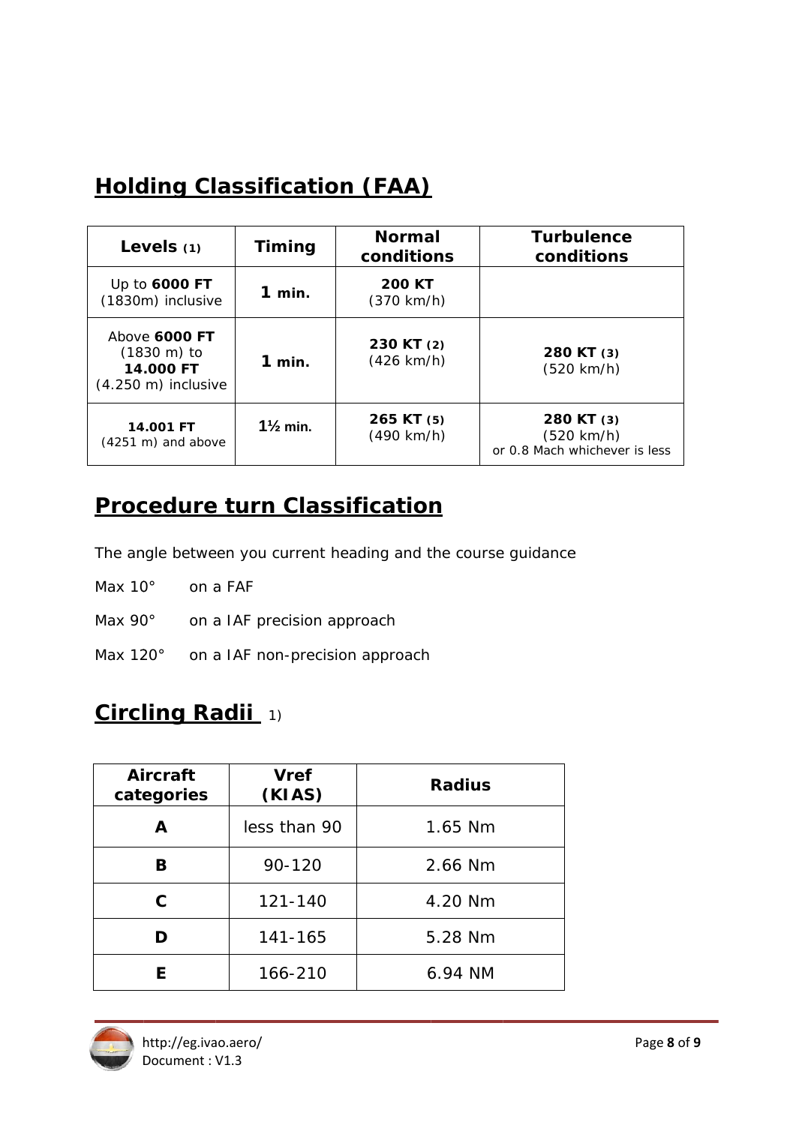# **Holding Classification (FAA)**

| Levels $(1)$                                                                           | Timing              | <b>Normal</b><br>conditions           | <b>Turbulence</b><br>conditions                           |
|----------------------------------------------------------------------------------------|---------------------|---------------------------------------|-----------------------------------------------------------|
| Up to 6000 FT<br>(1830m) inclusive                                                     | $1$ min.            | <b>200 KT</b><br>$(370 \text{ km/h})$ |                                                           |
| Above 6000 FT<br>$(1830 \; \text{m})$ to<br>14.000 FT<br>$(4.250 \text{ m})$ inclusive | $1$ min.            | 230 KT (2)<br>$(426 \text{ km/h})$    | 280 KT (3)<br>(520 km/h)                                  |
| 14.001 FT<br>$(4251 \text{ m})$ and above                                              | $1\frac{1}{2}$ min. | 265 KT (5)<br>(490 km/h)              | 280 KT (3)<br>(520 km/h)<br>or 0.8 Mach whichever is less |

### **Procedure turn Classification**

The angle between you current heading and the course guidance

- Max 10° on a FAF
- Max 90° on a IAF precision approach
- Max 120° on a IAF non-precision approach

## Circling Radii 1)

| Aircraft<br>categories | <b>Vref</b><br>(KIAS) | <b>Radius</b> |
|------------------------|-----------------------|---------------|
| A                      | less than 90          | 1.65 Nm       |
| в                      | 90-120                | 2.66 Nm       |
| C.                     | 121-140               | 4.20 Nm       |
| D                      | 141-165               | 5.28 Nm       |
|                        | 166-210               | 6.94 NM       |